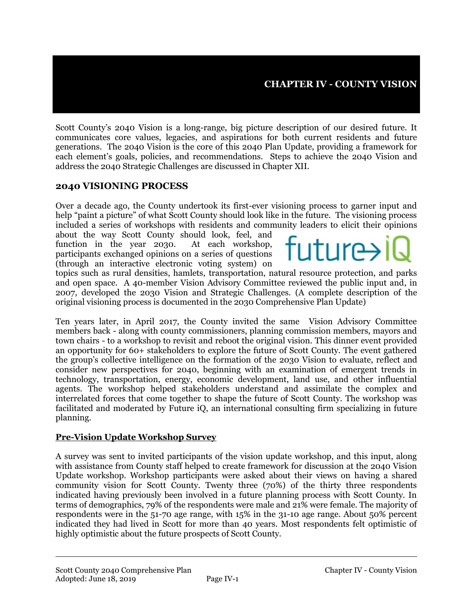Scott County's 2040 Vision is a long-range, big picture description of our desired future. It communicates core values, legacies, and aspirations for both current residents and future generations. The 2040 Vision is the core of this 2040 Plan Update, providing a framework for each element's goals, policies, and recommendations. Steps to achieve the 2040 Vision and address the 2040 Strategic Challenges are discussed in Chapter XII.

### **2040 VISIONING PROCESS**

Over a decade ago, the County undertook its first-ever visioning process to garner input and help "paint a picture" of what Scott County should look like in the future. The visioning process included a series of workshops with residents and community leaders to elicit their opinions

about the way Scott County should look, feel, and function in the year 2030. At each workshop, participants exchanged opinions on a series of questions (through an interactive electronic voting system) on



topics such as rural densities, hamlets, transportation, natural resource protection, and parks and open space. A 40-member Vision Advisory Committee reviewed the public input and, in 2007, developed the 2030 Vision and Strategic Challenges. (A complete description of the original visioning process is documented in the 2030 Comprehensive Plan Update)

Ten years later, in April 2017, the County invited the same Vision Advisory Committee members back - along with county commissioners, planning commission members, mayors and town chairs - to a workshop to revisit and reboot the original vision. This dinner event provided an opportunity for 60+ stakeholders to explore the future of Scott County. The event gathered the group's collective intelligence on the formation of the 2030 Vision to evaluate, reflect and consider new perspectives for 2040, beginning with an examination of emergent trends in technology, transportation, energy, economic development, land use, and other influential agents. The workshop helped stakeholders understand and assimilate the complex and interrelated forces that come together to shape the future of Scott County. The workshop was facilitated and moderated by Future iQ, an international consulting firm specializing in future planning.

#### **Pre-Vision Update Workshop Survey**

A survey was sent to invited participants of the vision update workshop, and this input, along with assistance from County staff helped to create framework for discussion at the 2040 Vision Update workshop. Workshop participants were asked about their views on having a shared community vision for Scott County. Twenty three (70%) of the thirty three respondents indicated having previously been involved in a future planning process with Scott County. In terms of demographics, 79% of the respondents were male and 21% were female. The majority of respondents were in the 51-70 age range, with 15% in the 31-10 age range. About 50% percent indicated they had lived in Scott for more than 40 years. Most respondents felt optimistic of highly optimistic about the future prospects of Scott County.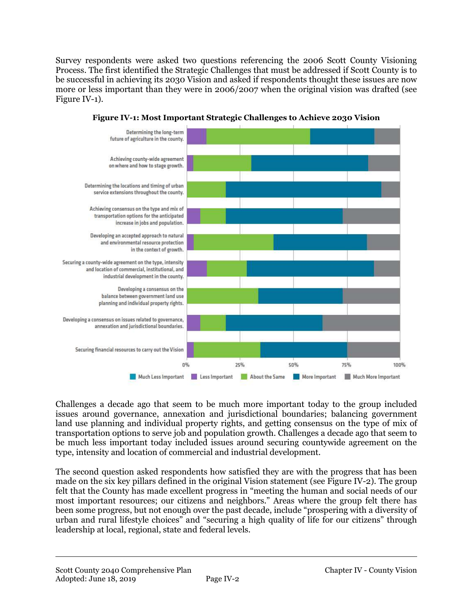Survey respondents were asked two questions referencing the 2006 Scott County Visioning Process. The first identified the Strategic Challenges that must be addressed if Scott County is to be successful in achieving its 2030 Vision and asked if respondents thought these issues are now more or less important than they were in 2006/2007 when the original vision was drafted (see Figure IV-1).



**Figure IV-1: Most Important Strategic Challenges to Achieve 2030 Vision**

Challenges a decade ago that seem to be much more important today to the group included issues around governance, annexation and jurisdictional boundaries; balancing government land use planning and individual property rights, and getting consensus on the type of mix of transportation options to serve job and population growth. Challenges a decade ago that seem to be much less important today included issues around securing countywide agreement on the type, intensity and location of commercial and industrial development.

The second question asked respondents how satisfied they are with the progress that has been made on the six key pillars defined in the original Vision statement (see Figure IV-2). The group felt that the County has made excellent progress in "meeting the human and social needs of our most important resources; our citizens and neighbors." Areas where the group felt there has been some progress, but not enough over the past decade, include "prospering with a diversity of urban and rural lifestyle choices" and "securing a high quality of life for our citizens" through leadership at local, regional, state and federal levels.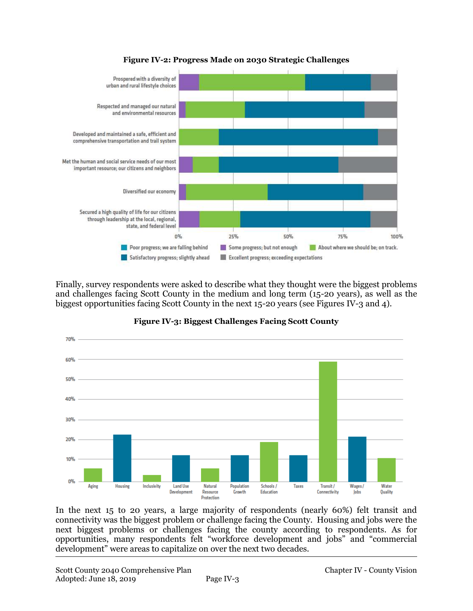

#### **Figure IV-2: Progress Made on 2030 Strategic Challenges**

Finally, survey respondents were asked to describe what they thought were the biggest problems and challenges facing Scott County in the medium and long term (15-20 years), as well as the biggest opportunities facing Scott County in the next 15-20 years (see Figures IV-3 and 4).



#### **Figure IV-3: Biggest Challenges Facing Scott County**

In the next 15 to 20 years, a large majority of respondents (nearly 60%) felt transit and connectivity was the biggest problem or challenge facing the County. Housing and jobs were the next biggest problems or challenges facing the county according to respondents. As for opportunities, many respondents felt "workforce development and jobs" and "commercial development" were areas to capitalize on over the next two decades.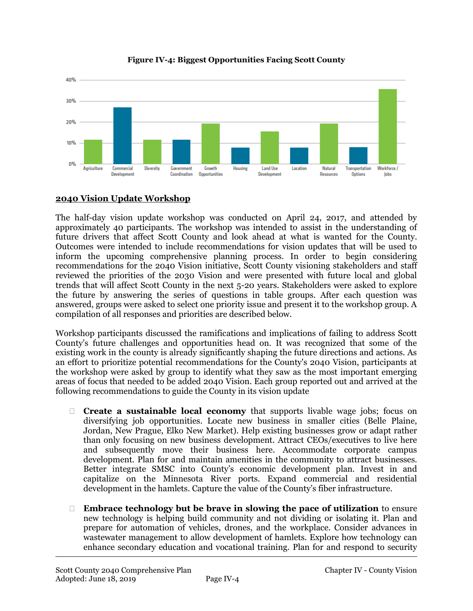

**Figure IV-4: Biggest Opportunities Facing Scott County**

## **2040 Vision Update Workshop**

The half-day vision update workshop was conducted on April 24, 2017, and attended by approximately 40 participants. The workshop was intended to assist in the understanding of future drivers that affect Scott County and look ahead at what is wanted for the County. Outcomes were intended to include recommendations for vision updates that will be used to inform the upcoming comprehensive planning process. In order to begin considering recommendations for the 2040 Vision initiative, Scott County visioning stakeholders and staff reviewed the priorities of the 2030 Vision and were presented with future local and global trends that will affect Scott County in the next 5-20 years. Stakeholders were asked to explore the future by answering the series of questions in table groups. After each question was answered, groups were asked to select one priority issue and present it to the workshop group. A compilation of all responses and priorities are described below.

Workshop participants discussed the ramifications and implications of failing to address Scott County's future challenges and opportunities head on. It was recognized that some of the existing work in the county is already significantly shaping the future directions and actions. As an effort to prioritize potential recommendations for the County's 2040 Vision, participants at the workshop were asked by group to identify what they saw as the most important emerging areas of focus that needed to be added 2040 Vision. Each group reported out and arrived at the following recommendations to guide the County in its vision update

- **Create a sustainable local economy** that supports livable wage jobs; focus on diversifying job opportunities. Locate new business in smaller cities (Belle Plaine, Jordan, New Prague, Elko New Market). Help existing businesses grow or adapt rather than only focusing on new business development. Attract CEOs/executives to live here and subsequently move their business here. Accommodate corporate campus development. Plan for and maintain amenities in the community to attract businesses. Better integrate SMSC into County's economic development plan. Invest in and capitalize on the Minnesota River ports. Expand commercial and residential development in the hamlets. Capture the value of the County's fiber infrastructure.
- **Embrace technology but be brave in slowing the pace of utilization** to ensure new technology is helping build community and not dividing or isolating it. Plan and prepare for automation of vehicles, drones, and the workplace. Consider advances in wastewater management to allow development of hamlets. Explore how technology can enhance secondary education and vocational training. Plan for and respond to security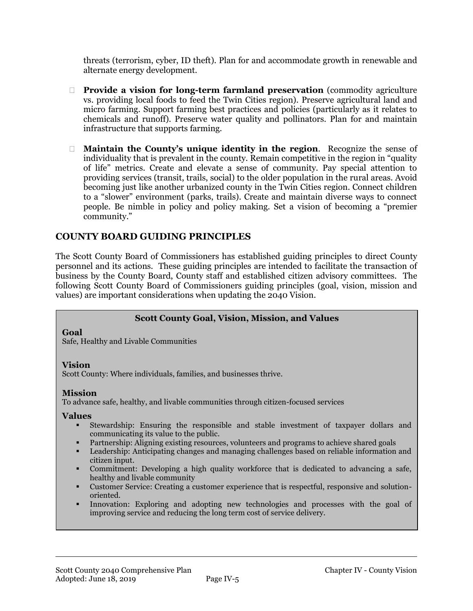threats (terrorism, cyber, ID theft). Plan for and accommodate growth in renewable and alternate energy development.

- **Provide a vision for long-term farmland preservation** (commodity agriculture vs. providing local foods to feed the Twin Cities region). Preserve agricultural land and micro farming. Support farming best practices and policies (particularly as it relates to chemicals and runoff). Preserve water quality and pollinators. Plan for and maintain infrastructure that supports farming.
- **Maintain the County's unique identity in the region**. Recognize the sense of individuality that is prevalent in the county. Remain competitive in the region in "quality of life" metrics. Create and elevate a sense of community. Pay special attention to providing services (transit, trails, social) to the older population in the rural areas. Avoid becoming just like another urbanized county in the Twin Cities region. Connect children to a "slower" environment (parks, trails). Create and maintain diverse ways to connect people. Be nimble in policy and policy making. Set a vision of becoming a "premier community."

## **COUNTY BOARD GUIDING PRINCIPLES**

The Scott County Board of Commissioners has established guiding principles to direct County personnel and its actions. These guiding principles are intended to facilitate the transaction of business by the County Board, County staff and established citizen advisory committees. The following Scott County Board of Commissioners guiding principles (goal, vision, mission and values) are important considerations when updating the 2040 Vision.

#### **Scott County Goal, Vision, Mission, and Values**

#### **Goal**

Safe, Healthy and Livable Communities

#### **Vision**

Scott County: Where individuals, families, and businesses thrive.

#### **Mission**

To advance safe, healthy, and livable communities through citizen-focused services

#### **Values**

- Stewardship: Ensuring the responsible and stable investment of taxpayer dollars and communicating its value to the public.
- Partnership: Aligning existing resources, volunteers and programs to achieve shared goals
- Leadership: Anticipating changes and managing challenges based on reliable information and citizen input.
- Commitment: Developing a high quality workforce that is dedicated to advancing a safe, healthy and livable community
- Customer Service: Creating a customer experience that is respectful, responsive and solutionoriented.
- Innovation: Exploring and adopting new technologies and processes with the goal of improving service and reducing the long term cost of service delivery.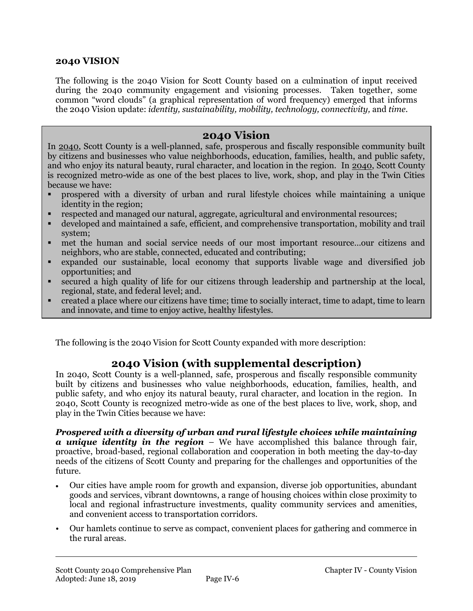#### **2040 VISION**

The following is the 2040 Vision for Scott County based on a culmination of input received during the 2040 community engagement and visioning processes. Taken together, some common "word clouds" (a graphical representation of word frequency) emerged that informs the 2040 Vision update: *identity, sustainability, mobility, technology, connectivity,* and *time*.

## **2040 Vision**

In 2040, Scott County is a well-planned, safe, prosperous and fiscally responsible community built by citizens and businesses who value neighborhoods, education, families, health, and public safety, and who enjoy its natural beauty, rural character, and location in the region. In 2040, Scott County is recognized metro-wide as one of the best places to live, work, shop, and play in the Twin Cities because we have:

- prospered with a diversity of urban and rural lifestyle choices while maintaining a unique identity in the region;
- respected and managed our natural, aggregate, agricultural and environmental resources;
- developed and maintained a safe, efficient, and comprehensive transportation, mobility and trail system;
- met the human and social service needs of our most important resource…our citizens and neighbors, who are stable, connected, educated and contributing;
- expanded our sustainable, local economy that supports livable wage and diversified job opportunities; and
- secured a high quality of life for our citizens through leadership and partnership at the local, regional, state, and federal level; and.
- created a place where our citizens have time; time to socially interact, time to adapt, time to learn and innovate, and time to enjoy active, healthy lifestyles.

The following is the 2040 Vision for Scott County expanded with more description:

# **2040 Vision (with supplemental description)**

In 2040, Scott County is a well-planned, safe, prosperous and fiscally responsible community built by citizens and businesses who value neighborhoods, education, families, health, and public safety, and who enjoy its natural beauty, rural character, and location in the region. In 2040, Scott County is recognized metro-wide as one of the best places to live, work, shop, and play in the Twin Cities because we have:

*Prospered with a diversity of urban and rural lifestyle choices while maintaining a unique identity in the region* – We have accomplished this balance through fair, proactive, broad-based, regional collaboration and cooperation in both meeting the day-to-day needs of the citizens of Scott County and preparing for the challenges and opportunities of the future.

- Our cities have ample room for growth and expansion, diverse job opportunities, abundant goods and services, vibrant downtowns, a range of housing choices within close proximity to local and regional infrastructure investments, quality community services and amenities, and convenient access to transportation corridors.
- Our hamlets continue to serve as compact, convenient places for gathering and commerce in the rural areas.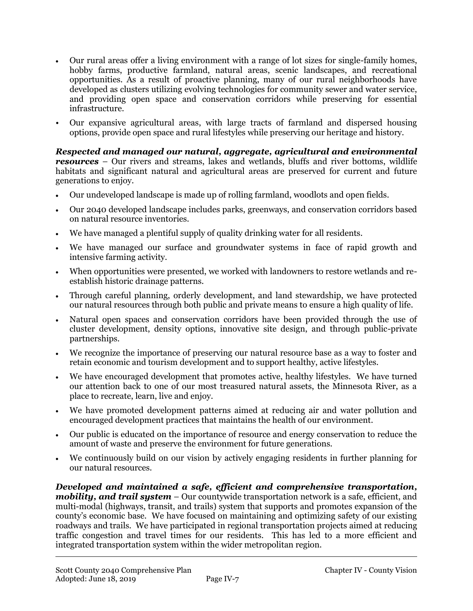- Our rural areas offer a living environment with a range of lot sizes for single-family homes, hobby farms, productive farmland, natural areas, scenic landscapes, and recreational opportunities. As a result of proactive planning, many of our rural neighborhoods have developed as clusters utilizing evolving technologies for community sewer and water service, and providing open space and conservation corridors while preserving for essential infrastructure.
- Our expansive agricultural areas, with large tracts of farmland and dispersed housing options, provide open space and rural lifestyles while preserving our heritage and history.

*Respected and managed our natural, aggregate, agricultural and environmental resources* – Our rivers and streams, lakes and wetlands, bluffs and river bottoms, wildlife habitats and significant natural and agricultural areas are preserved for current and future generations to enjoy.

- Our undeveloped landscape is made up of rolling farmland, woodlots and open fields.
- Our 2040 developed landscape includes parks, greenways, and conservation corridors based on natural resource inventories.
- We have managed a plentiful supply of quality drinking water for all residents.
- We have managed our surface and groundwater systems in face of rapid growth and intensive farming activity.
- When opportunities were presented, we worked with landowners to restore wetlands and reestablish historic drainage patterns.
- Through careful planning, orderly development, and land stewardship, we have protected our natural resources through both public and private means to ensure a high quality of life.
- Natural open spaces and conservation corridors have been provided through the use of cluster development, density options, innovative site design, and through public-private partnerships.
- We recognize the importance of preserving our natural resource base as a way to foster and retain economic and tourism development and to support healthy, active lifestyles.
- We have encouraged development that promotes active, healthy lifestyles. We have turned our attention back to one of our most treasured natural assets, the Minnesota River, as a place to recreate, learn, live and enjoy.
- We have promoted development patterns aimed at reducing air and water pollution and encouraged development practices that maintains the health of our environment.
- Our public is educated on the importance of resource and energy conservation to reduce the amount of waste and preserve the environment for future generations.
- We continuously build on our vision by actively engaging residents in further planning for our natural resources.

*Developed and maintained a safe, efficient and comprehensive transportation, mobility, and trail system* – Our countywide transportation network is a safe, efficient, and multi-modal (highways, transit, and trails) system that supports and promotes expansion of the county's economic base. We have focused on maintaining and optimizing safety of our existing roadways and trails. We have participated in regional transportation projects aimed at reducing traffic congestion and travel times for our residents. This has led to a more efficient and integrated transportation system within the wider metropolitan region.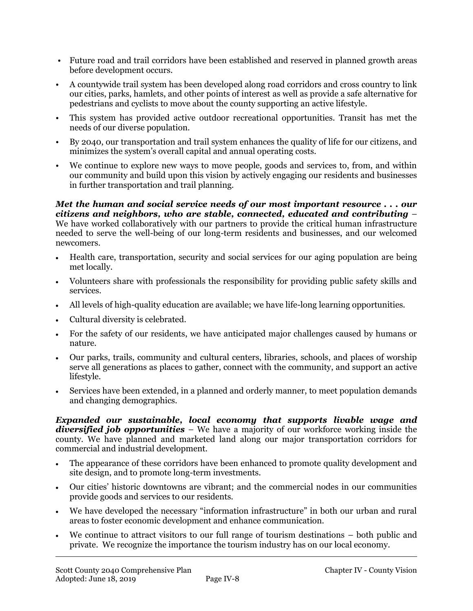- Future road and trail corridors have been established and reserved in planned growth areas before development occurs.
- A countywide trail system has been developed along road corridors and cross country to link our cities, parks, hamlets, and other points of interest as well as provide a safe alternative for pedestrians and cyclists to move about the county supporting an active lifestyle.
- This system has provided active outdoor recreational opportunities. Transit has met the needs of our diverse population.
- By 2040, our transportation and trail system enhances the quality of life for our citizens, and minimizes the system's overall capital and annual operating costs.
- We continue to explore new ways to move people, goods and services to, from, and within our community and build upon this vision by actively engaging our residents and businesses in further transportation and trail planning.

*Met the human and social service needs of our most important resource . . . our citizens and neighbors, who are stable, connected, educated and contributing* – We have worked collaboratively with our partners to provide the critical human infrastructure needed to serve the well-being of our long-term residents and businesses, and our welcomed newcomers.

- Health care, transportation, security and social services for our aging population are being met locally.
- Volunteers share with professionals the responsibility for providing public safety skills and services.
- All levels of high-quality education are available; we have life-long learning opportunities.
- Cultural diversity is celebrated.
- For the safety of our residents, we have anticipated major challenges caused by humans or nature.
- Our parks, trails, community and cultural centers, libraries, schools, and places of worship serve all generations as places to gather, connect with the community, and support an active lifestyle.
- Services have been extended, in a planned and orderly manner, to meet population demands and changing demographics.

*Expanded our sustainable, local economy that supports livable wage and diversified job opportunities* – We have a majority of our workforce working inside the county. We have planned and marketed land along our major transportation corridors for commercial and industrial development.

- The appearance of these corridors have been enhanced to promote quality development and site design, and to promote long-term investments.
- Our cities' historic downtowns are vibrant; and the commercial nodes in our communities provide goods and services to our residents.
- We have developed the necessary "information infrastructure" in both our urban and rural areas to foster economic development and enhance communication.
- We continue to attract visitors to our full range of tourism destinations both public and private. We recognize the importance the tourism industry has on our local economy.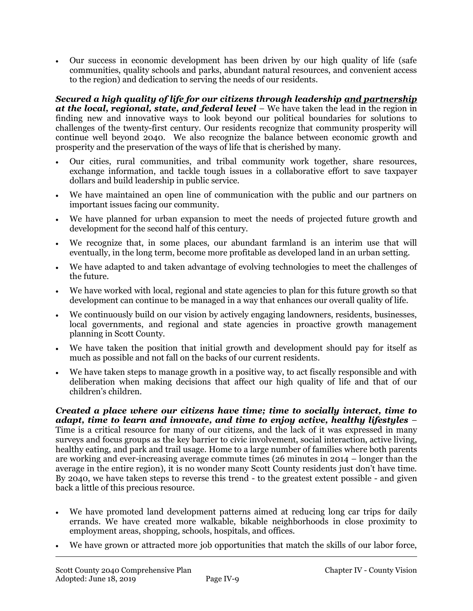Our success in economic development has been driven by our high quality of life (safe communities, quality schools and parks, abundant natural resources, and convenient access to the region) and dedication to serving the needs of our residents.

*Secured a high quality of life for our citizens through leadership and partnership at the local, regional, state, and federal level* – We have taken the lead in the region in finding new and innovative ways to look beyond our political boundaries for solutions to challenges of the twenty-first century. Our residents recognize that community prosperity will continue well beyond 2040. We also recognize the balance between economic growth and prosperity and the preservation of the ways of life that is cherished by many.

- Our cities, rural communities, and tribal community work together, share resources, exchange information, and tackle tough issues in a collaborative effort to save taxpayer dollars and build leadership in public service.
- We have maintained an open line of communication with the public and our partners on important issues facing our community.
- We have planned for urban expansion to meet the needs of projected future growth and development for the second half of this century.
- We recognize that, in some places, our abundant farmland is an interim use that will eventually, in the long term, become more profitable as developed land in an urban setting.
- We have adapted to and taken advantage of evolving technologies to meet the challenges of the future.
- We have worked with local, regional and state agencies to plan for this future growth so that development can continue to be managed in a way that enhances our overall quality of life.
- We continuously build on our vision by actively engaging landowners, residents, businesses, local governments, and regional and state agencies in proactive growth management planning in Scott County.
- We have taken the position that initial growth and development should pay for itself as much as possible and not fall on the backs of our current residents.
- We have taken steps to manage growth in a positive way, to act fiscally responsible and with deliberation when making decisions that affect our high quality of life and that of our children's children.

*Created a place where our citizens have time; time to socially interact, time to adapt, time to learn and innovate, and time to enjoy active, healthy lifestyles* – Time is a critical resource for many of our citizens, and the lack of it was expressed in many surveys and focus groups as the key barrier to civic involvement, social interaction, active living, healthy eating, and park and trail usage. Home to a large number of families where both parents are working and ever-increasing average commute times (26 minutes in 2014 – longer than the average in the entire region), it is no wonder many Scott County residents just don't have time. By 2040, we have taken steps to reverse this trend - to the greatest extent possible - and given back a little of this precious resource.

- We have promoted land development patterns aimed at reducing long car trips for daily errands. We have created more walkable, bikable neighborhoods in close proximity to employment areas, shopping, schools, hospitals, and offices.
- We have grown or attracted more job opportunities that match the skills of our labor force,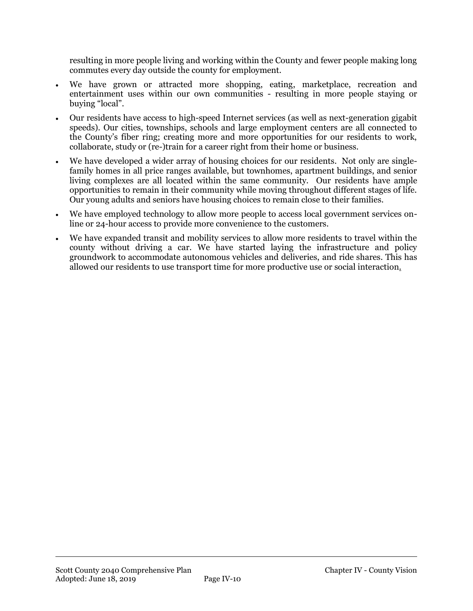resulting in more people living and working within the County and fewer people making long commutes every day outside the county for employment.

- We have grown or attracted more shopping, eating, marketplace, recreation and entertainment uses within our own communities - resulting in more people staying or buying "local".
- Our residents have access to high-speed Internet services (as well as next-generation gigabit speeds). Our cities, townships, schools and large employment centers are all connected to the County's fiber ring; creating more and more opportunities for our residents to work, collaborate, study or (re-)train for a career right from their home or business.
- We have developed a wider array of housing choices for our residents. Not only are singlefamily homes in all price ranges available, but townhomes, apartment buildings, and senior living complexes are all located within the same community. Our residents have ample opportunities to remain in their community while moving throughout different stages of life. Our young adults and seniors have housing choices to remain close to their families.
- We have employed technology to allow more people to access local government services online or 24-hour access to provide more convenience to the customers.
- We have expanded transit and mobility services to allow more residents to travel within the county without driving a car. We have started laying the infrastructure and policy groundwork to accommodate autonomous vehicles and deliveries, and ride shares. This has allowed our residents to use transport time for more productive use or social interaction.